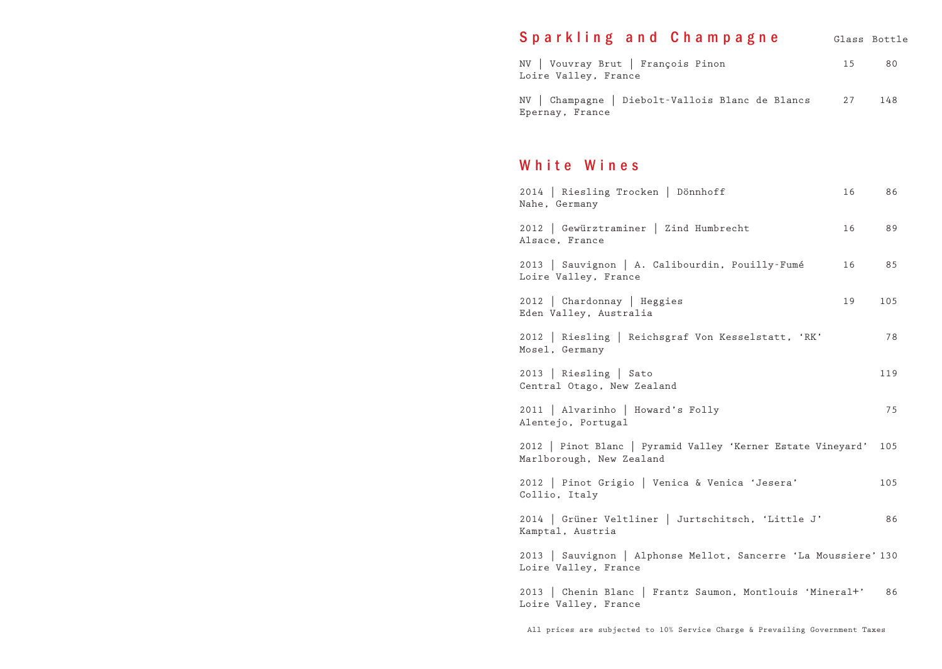## Sparkling and Champagne Glass Bottle

| NV   Vouvray Brut   François Pinon<br>Loire Valley, France          | 15 | 80  |
|---------------------------------------------------------------------|----|-----|
| NV   Champagne   Diebolt-Vallois Blanc de Blancs<br>Epernay, France | 27 | 148 |

## White Wines

| 2014   Riesling Trocken   Dönnhoff<br>Nahe, Germany                                      | 16 | 86  |
|------------------------------------------------------------------------------------------|----|-----|
| 2012   Gewürztraminer   Zind Humbrecht<br>Alsace, France                                 | 16 | 89  |
| 2013   Sauvignon   A. Calibourdin, Pouilly-Fumé<br>Loire Valley, France                  | 16 | 85  |
| 2012   Chardonnay   Heggies<br>Eden Valley, Australia                                    | 19 | 105 |
| 2012   Riesling   Reichsgraf Von Kesselstatt, 'RK'<br>Mosel, Germany                     |    | 78  |
| 2013   Riesling   Sato<br>Central Otago, New Zealand                                     |    | 119 |
| 2011   Alvarinho   Howard's Folly<br>Alentejo, Portugal                                  |    | 75  |
| 2012   Pinot Blanc   Pyramid Valley 'Kerner Estate Vineyard'<br>Marlborough, New Zealand |    | 105 |
| 2012   Pinot Grigio   Venica & Venica 'Jesera'<br>Collio, Italy                          |    | 105 |
| 2014   Grüner Veltliner   Jurtschitsch, 'Little J'<br>Kamptal, Austria                   |    | 86  |
| 2013   Sauvignon   Alphonse Mellot, Sancerre 'La Moussiere' 130<br>Loire Valley, France  |    |     |
| 2013   Chenin Blanc   Frantz Saumon, Montlouis 'Mineral+'<br>Loire Valley, France        |    | 86  |

All prices are subjected to 10% Service Charge & Prevailing Government Taxes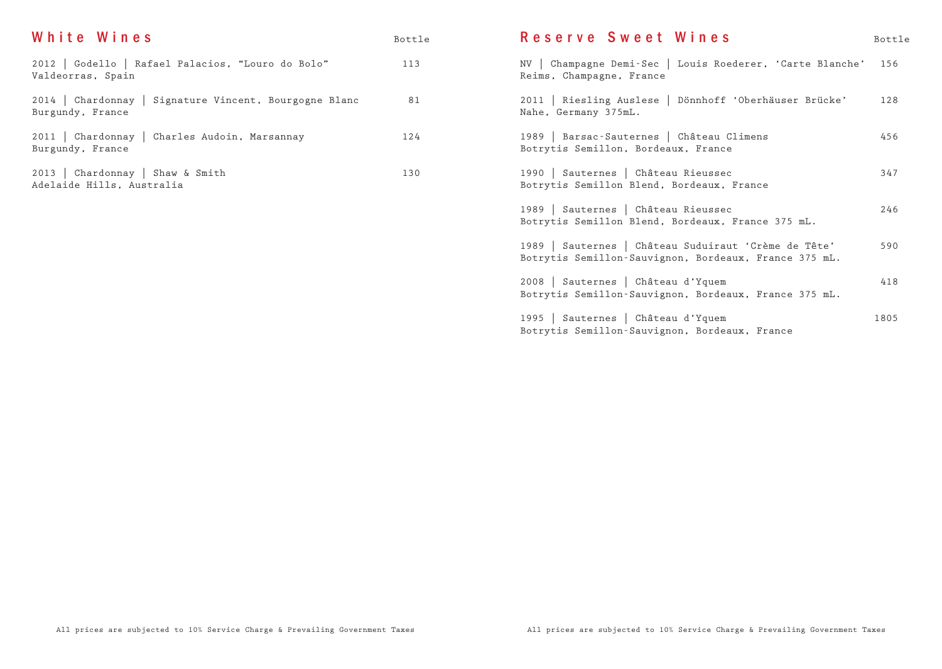| White Wines                                                                | Bottle | Reserve Sweet Wines                                                                                           | Bottle |
|----------------------------------------------------------------------------|--------|---------------------------------------------------------------------------------------------------------------|--------|
| 2012   Godello   Rafael Palacios, "Louro do Bolo"<br>Valdeorras, Spain     | 113    | NV   Champagne Demi-Sec   Louis Roederer, 'Carte Blanche'<br>Reims, Champagne, France                         | 156    |
| 2014   Chardonnay   Signature Vincent, Bourgogne Blanc<br>Burgundy, France | 81     | 2011   Riesling Auslese   Dönnhoff 'Oberhäuser Brücke'<br>Nahe, Germany 375mL.                                | 128    |
| 2011   Chardonnay   Charles Audoin, Marsannay<br>Burgundy, France          | 124    | 1989   Barsac-Sauternes   Château Climens<br>Botrytis Semillon, Bordeaux, France                              | 456    |
| 2013   Chardonnay   Shaw & Smith<br>Adelaide Hills, Australia              | 130    | 1990   Sauternes   Château Rieussec<br>Botrytis Semillon Blend, Bordeaux, France                              | 347    |
|                                                                            |        | 1989   Sauternes   Château Rieussec<br>Botrytis Semillon Blend, Bordeaux, France 375 mL.                      | 246    |
|                                                                            |        | 1989   Sauternes   Château Suduiraut 'Crème de Tête'<br>Botrytis Semillon-Sauvignon, Bordeaux, France 375 mL. | 590    |
|                                                                            |        | 2008   Sauternes   Château d'Yquem<br>Botrytis Semillon-Sauvignon, Bordeaux, France 375 mL.                   | 418    |
|                                                                            |        | 1995   Sauternes   Château d'Yquem<br>Botrytis Semillon-Sauvignon, Bordeaux, France                           | 1805   |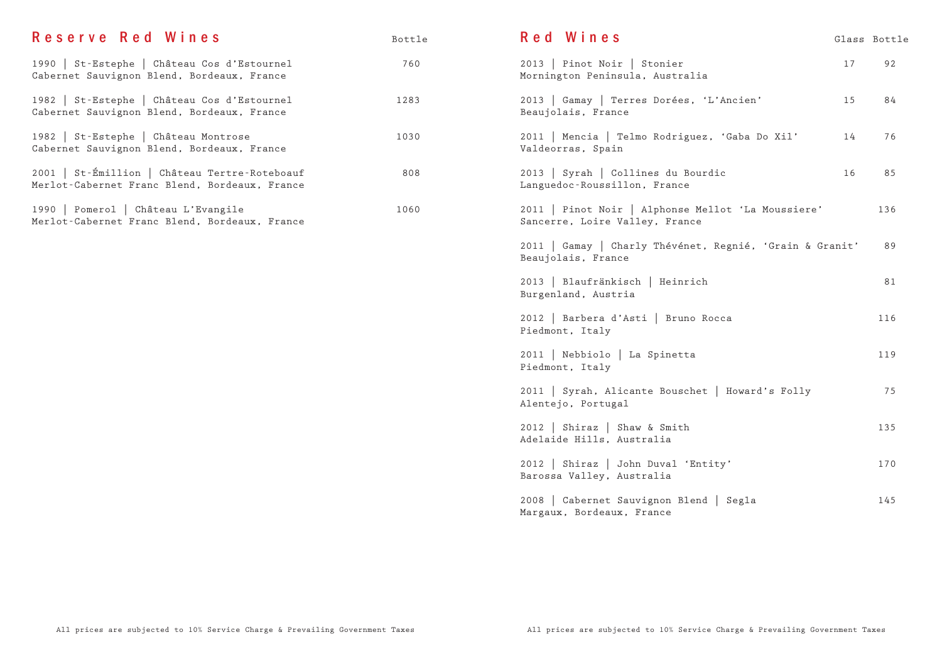| Reserve Red Wines                                                                              | Bottle |
|------------------------------------------------------------------------------------------------|--------|
| 1990   St-Estephe   Château Cos d'Estournel<br>Cabernet Sauvignon Blend, Bordeaux, France      | 760    |
| 1982   St-Estephe   Château Cos d'Estournel<br>Cabernet Sauvignon Blend, Bordeaux, France      | 1283   |
| 1982   St-Estephe   Château Montrose<br>Cabernet Sauvignon Blend, Bordeaux, France             | 1030   |
| 2001   St-Émillion   Château Tertre-Roteboauf<br>Merlot-Cabernet Franc Blend, Bordeaux, France | 808    |
| 1990   Pomerol   Château L'Evangile<br>Merlot-Cabernet Franc Blend, Bordeaux, France           | 1060   |
|                                                                                                |        |
|                                                                                                |        |

| Red Wines                                                                            |         | Glass Bottle |
|--------------------------------------------------------------------------------------|---------|--------------|
| 2013   Pinot Noir   Stonier<br>Mornington Peninsula, Australia                       | $17 \,$ | 92           |
| 2013   Gamay   Terres Dorées, 'L'Ancien'<br>Beaujolais, France                       | 15      | 84           |
| 2011   Mencia   Telmo Rodriguez, 'Gaba Do Xil'<br>Valdeorras, Spain                  | 14      | 76           |
| 2013   Syrah   Collines du Bourdic<br>Languedoc-Roussillon, France                   | 16      | 85           |
| 2011   Pinot Noir   Alphonse Mellot 'La Moussiere'<br>Sancerre, Loire Valley, France |         | 136          |
| 2011   Gamay   Charly Thévénet, Regnié, 'Grain & Granit'<br>Beaujolais, France       |         | 89           |
| 2013   Blaufränkisch   Heinrich<br>Burgenland, Austria                               |         | 81           |
| 2012   Barbera d'Asti   Bruno Rocca<br>Piedmont, Italy                               |         | 116          |
| 2011   Nebbiolo   La Spinetta<br>Piedmont, Italy                                     |         | 119          |
| 2011   Syrah, Alicante Bouschet   Howard's Folly<br>Alentejo, Portugal               |         | 75           |
| 2012   Shiraz   Shaw & Smith<br>Adelaide Hills, Australia                            |         | 135          |
| 2012   Shiraz   John Duval 'Entity'<br>Barossa Valley, Australia                     |         | 170          |
| 2008   Cabernet Sauvignon Blend   Segla<br>Margaux, Bordeaux, France                 |         | 145          |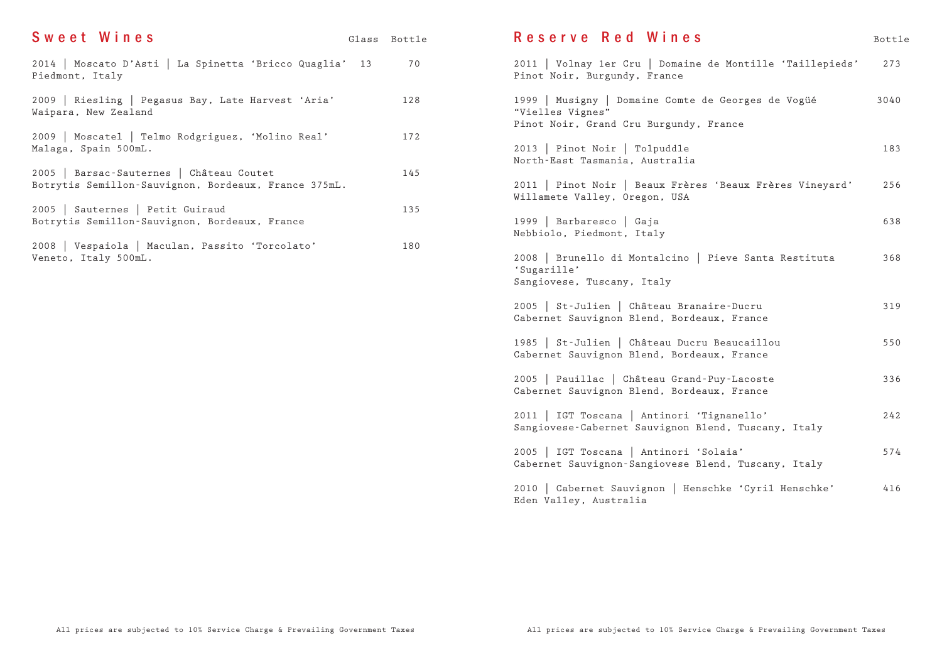| Sweet Wines                                                                                      | Glass Bottle |
|--------------------------------------------------------------------------------------------------|--------------|
| 2014   Moscato D'Asti   La Spinetta 'Bricco Quaglia' 13<br>Piedmont, Italy                       | 70           |
| 2009   Riesling   Pegasus Bay, Late Harvest 'Aria'<br>Waipara, New Zealand                       | 128          |
| 2009   Moscatel   Telmo Rodgriguez, 'Molino Real'<br>Malaga, Spain 500mL.                        | 172          |
| 2005   Barsac-Sauternes   Château Coutet<br>Botrytis Semillon-Sauvignon, Bordeaux, France 375mL. | 145          |
| 2005   Sauternes   Petit Guiraud<br>Botrytis Semillon-Sauvignon, Bordeaux, France                | 135          |
| 2008   Vespaiola   Maculan, Passito 'Torcolato'<br>Veneto, Italy 500mL.                          | 180          |
|                                                                                                  |              |

| Reserve Red Wines                                                                                                | Bottle |
|------------------------------------------------------------------------------------------------------------------|--------|
| 2011   Volnay 1er Cru   Domaine de Montille 'Taillepieds'<br>Pinot Noir, Burgundy, France                        | 273    |
| 1999   Musigny   Domaine Comte de Georges de Vogüé<br>"Vielles Vignes"<br>Pinot Noir, Grand Cru Burgundy, France | 3040   |
| 2013   Pinot Noir   Tolpuddle<br>North-East Tasmania, Australia                                                  | 183    |
| 2011   Pinot Noir   Beaux Frères 'Beaux Frères Vineyard'<br>Willamete Valley, Oregon, USA                        | 256    |
| 1999   Barbaresco   Gaja<br>Nebbiolo, Piedmont, Italy                                                            | 638    |
| 2008   Brunello di Montalcino   Pieve Santa Restituta<br>'Sugarille'<br>Sangiovese, Tuscany, Italy               | 368    |
| 2005   St-Julien   Château Branaire-Ducru<br>Cabernet Sauvignon Blend, Bordeaux, France                          | 319    |
| 1985   St-Julien   Château Ducru Beaucaillou<br>Cabernet Sauvignon Blend, Bordeaux, France                       | 550    |
| 2005   Pauillac   Château Grand-Puy-Lacoste<br>Cabernet Sauvignon Blend, Bordeaux, France                        | 336    |
| 2011   IGT Toscana   Antinori 'Tignanello'<br>Sangiovese-Cabernet Sauvignon Blend, Tuscany, Italy                | 242    |
| 2005   IGT Toscana   Antinori 'Solaia'<br>Cabernet Sauvignon-Sangiovese Blend, Tuscany, Italy                    | 574    |
| 2010   Cabernet Sauvignon   Henschke 'Cyril Henschke'<br>Eden Valley, Australia                                  | 416    |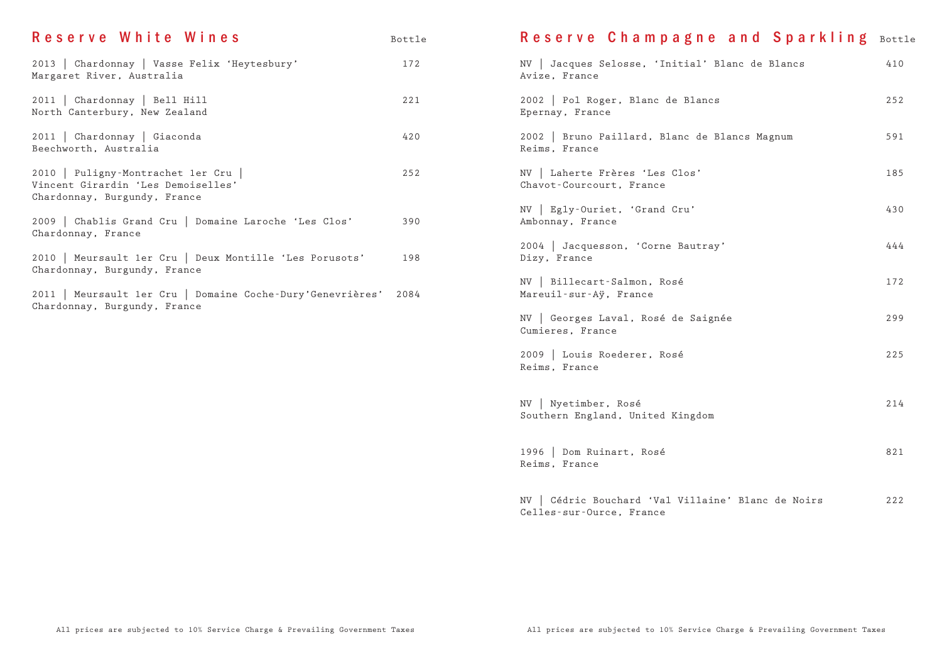| Reserve White Wines                                                                                     | Bottle | Reserve Champagne and Sparkling Bottle                                         |     |
|---------------------------------------------------------------------------------------------------------|--------|--------------------------------------------------------------------------------|-----|
| 2013   Chardonnay   Vasse Felix 'Heytesbury'<br>Margaret River, Australia                               | 172    | NV   Jacques Selosse, 'Initial' Blanc de Blancs<br>Avize, France               | 410 |
| 2011   Chardonnay   Bell Hill<br>North Canterbury, New Zealand                                          | 221    | 2002   Pol Roger, Blanc de Blancs<br>Epernay, France                           | 252 |
| 2011   Chardonnay   Giaconda<br>Beechworth, Australia                                                   | 420    | 2002   Bruno Paillard, Blanc de Blancs Magnum<br>Reims, France                 | 591 |
| 2010   Puligny-Montrachet ler Cru<br>Vincent Girardin 'Les Demoiselles'<br>Chardonnay, Burgundy, France | 252    | NV   Laherte Frères 'Les Clos'<br>Chavot-Courcourt, France                     | 185 |
| 2009   Chablis Grand Cru   Domaine Laroche 'Les Clos'                                                   | 390    | NV   Egly-Ouriet, 'Grand Cru'<br>Ambonnay, France                              | 430 |
| Chardonnay, France<br>2010   Meursault 1er Cru   Deux Montille 'Les Porusots'                           | 198    | 2004   Jacquesson, 'Corne Bautray'<br>Dizy, France                             | 444 |
| Chardonnay, Burgundy, France<br>2011   Meursault 1er Cru   Domaine Coche-Dury'Genevrières'              | 2084   | NV   Billecart-Salmon, Rosé<br>Mareuil-sur-Aÿ, France                          | 172 |
| Chardonnay, Burgundy, France                                                                            |        | NV   Georges Laval, Rosé de Saignée<br>Cumieres, France                        | 299 |
|                                                                                                         |        | 2009   Louis Roederer, Rosé<br>Reims, France                                   | 225 |
|                                                                                                         |        | NV   Nyetimber, Rosé<br>Southern England, United Kingdom                       | 214 |
|                                                                                                         |        | 1996   Dom Ruinart, Rosé<br>Reims, France                                      | 821 |
|                                                                                                         |        | NV   Cédric Bouchard 'Val Villaine' Blanc de Noirs<br>Celles-sur-Ource, France | 222 |